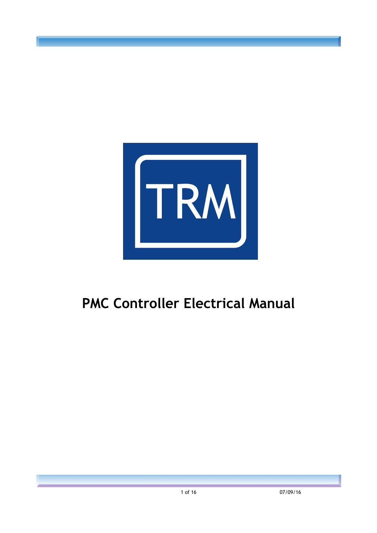

# **PMC Controller Electrical Manual**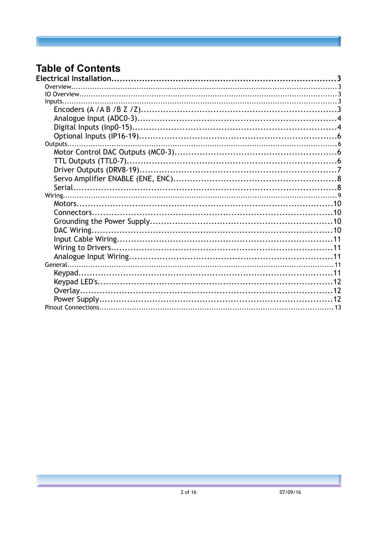## **Table of Contents**  $E$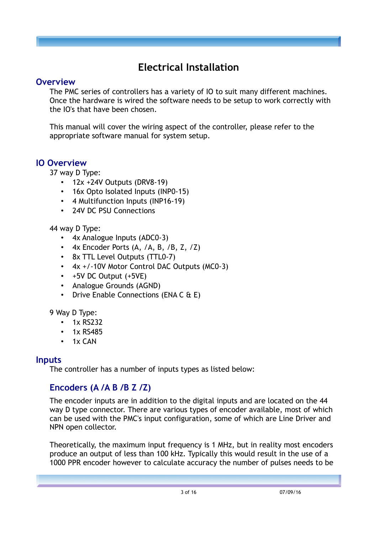# **Electrical Installation**

#### **Overview**

The PMC series of controllers has a variety of IO to suit many different machines. Once the hardware is wired the software needs to be setup to work correctly with the IO's that have been chosen.

This manual will cover the wiring aspect of the controller, please refer to the appropriate software manual for system setup.

## **IO Overview**

37 way D Type:

- 12x +24V Outputs (DRV8-19)
- 16x Opto Isolated Inputs (INP0-15)
- 4 Multifunction Inputs (INP16-19)
- 24V DC PSU Connections

44 way D Type:

- 4x Analogue Inputs (ADC0-3)
- $4x$  Encoder Ports (A, /A, B, /B, Z, /Z)
- 8x TTL Level Outputs (TTL0-7)
- 4x +/-10V Motor Control DAC Outputs (MC0-3)
- +5V DC Output (+5VE)
- Analogue Grounds (AGND)
- Drive Enable Connections (ENA C & E)

9 Way D Type:

- 1x RS232
- 1x RS485
- 1x CAN

#### **Inputs**

The controller has a number of inputs types as listed below:

# **Encoders (A /A B /B Z /Z)**

The encoder inputs are in addition to the digital inputs and are located on the 44 way D type connector. There are various types of encoder available, most of which can be used with the PMC's input configuration, some of which are Line Driver and NPN open collector.

Theoretically, the maximum input frequency is 1 MHz, but in reality most encoders produce an output of less than 100 kHz. Typically this would result in the use of a 1000 PPR encoder however to calculate accuracy the number of pulses needs to be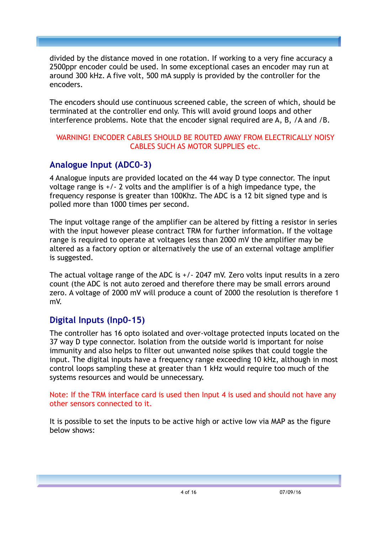divided by the distance moved in one rotation. If working to a very fine accuracy a 2500ppr encoder could be used. In some exceptional cases an encoder may run at around 300 kHz. A five volt, 500 mA supply is provided by the controller for the encoders.

The encoders should use continuous screened cable, the screen of which, should be terminated at the controller end only. This will avoid ground loops and other interference problems. Note that the encoder signal required are A, B, /A and /B.

#### WARNING! ENCODER CABLES SHOULD BE ROUTED AWAY FROM ELECTRICALLY NOISY CABLES SUCH AS MOTOR SUPPLIES etc.

## **Analogue Input (ADC0-3)**

4 Analogue inputs are provided located on the 44 way D type connector. The input voltage range is +/- 2 volts and the amplifier is of a high impedance type, the frequency response is greater than 100Khz. The ADC is a 12 bit signed type and is polled more than 1000 times per second.

The input voltage range of the amplifier can be altered by fitting a resistor in series with the input however please contract TRM for further information. If the voltage range is required to operate at voltages less than 2000 mV the amplifier may be altered as a factory option or alternatively the use of an external voltage amplifier is suggested.

The actual voltage range of the ADC is +/- 2047 mV. Zero volts input results in a zero count (the ADC is not auto zeroed and therefore there may be small errors around zero. A voltage of 2000 mV will produce a count of 2000 the resolution is therefore 1 mV.

## **Digital Inputs (Inp0-15)**

The controller has 16 opto isolated and over-voltage protected inputs located on the 37 way D type connector. Isolation from the outside world is important for noise immunity and also helps to filter out unwanted noise spikes that could toggle the input. The digital inputs have a frequency range exceeding 10 kHz, although in most control loops sampling these at greater than 1 kHz would require too much of the systems resources and would be unnecessary.

Note: If the TRM interface card is used then Input 4 is used and should not have any other sensors connected to it.

It is possible to set the inputs to be active high or active low via MAP as the figure below shows: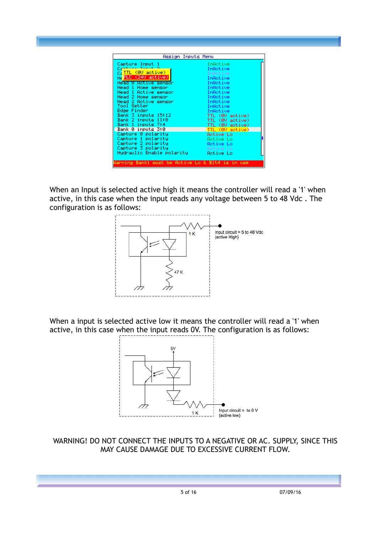When an Input is selected active high it means the controller will read a '1' when active, in this case when the input reads any voltage between 5 to 48 Vdc . The configuration is as follows:



When a input is selected active low it means the controller will read a '1' when active, in this case when the input reads 0V. The configuration is as follows:



WARNING! DO NOT CONNECT THE INPUTS TO A NEGATIVE OR AC. SUPPLY, SINCE THIS MAY CAUSE DAMAGE DUE TO EXCESSIVE CURRENT FLOW.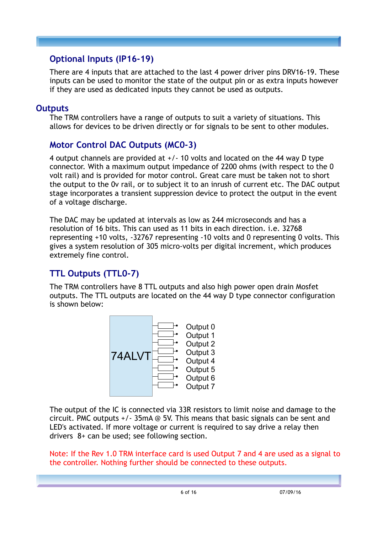## **Optional Inputs (IP16-19)**

There are 4 inputs that are attached to the last 4 power driver pins DRV16-19. These inputs can be used to monitor the state of the output pin or as extra inputs however if they are used as dedicated inputs they cannot be used as outputs.

## **Outputs**

The TRM controllers have a range of outputs to suit a variety of situations. This allows for devices to be driven directly or for signals to be sent to other modules.

## **Motor Control DAC Outputs (MC0-3)**

4 output channels are provided at +/- 10 volts and located on the 44 way D type connector. With a maximum output impedance of 2200 ohms (with respect to the 0 volt rail) and is provided for motor control. Great care must be taken not to short the output to the 0v rail, or to subject it to an inrush of current etc. The DAC output stage incorporates a transient suppression device to protect the output in the event of a voltage discharge.

The DAC may be updated at intervals as low as 244 microseconds and has a resolution of 16 bits. This can used as 11 bits in each direction. i.e. 32768 representing +10 volts, -32767 representing -10 volts and 0 representing 0 volts. This gives a system resolution of 305 micro-volts per digital increment, which produces extremely fine control.

# **TTL Outputs (TTL0-7)**

The TRM controllers have 8 TTL outputs and also high power open drain Mosfet outputs. The TTL outputs are located on the 44 way D type connector configuration is shown below:



The output of the IC is connected via 33R resistors to limit noise and damage to the circuit. PMC outputs +/- 35mA @ 5V. This means that basic signals can be sent and LED's activated. If more voltage or current is required to say drive a relay then drivers 8+ can be used; see following section.

Note: If the Rev 1.0 TRM interface card is used Output 7 and 4 are used as a signal to the controller. Nothing further should be connected to these outputs.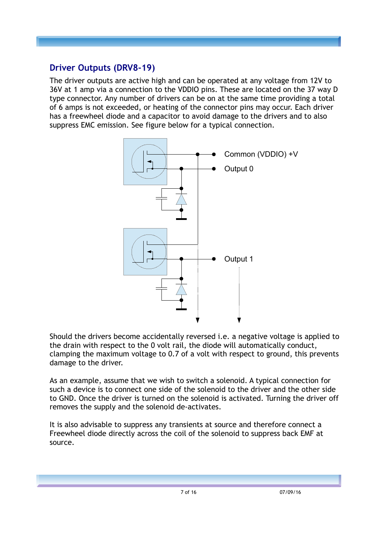# **Driver Outputs (DRV8-19)**

The driver outputs are active high and can be operated at any voltage from 12V to 36V at 1 amp via a connection to the VDDIO pins. These are located on the 37 way D type connector. Any number of drivers can be on at the same time providing a total of 6 amps is not exceeded, or heating of the connector pins may occur. Each driver has a freewheel diode and a capacitor to avoid damage to the drivers and to also suppress EMC emission. See figure below for a typical connection.



Should the drivers become accidentally reversed i.e. a negative voltage is applied to the drain with respect to the 0 volt rail, the diode will automatically conduct, clamping the maximum voltage to 0.7 of a volt with respect to ground, this prevents damage to the driver.

As an example, assume that we wish to switch a solenoid. A typical connection for such a device is to connect one side of the solenoid to the driver and the other side to GND. Once the driver is turned on the solenoid is activated. Turning the driver off removes the supply and the solenoid de-activates.

It is also advisable to suppress any transients at source and therefore connect a Freewheel diode directly across the coil of the solenoid to suppress back EMF at source.

7 of 16 07/09/16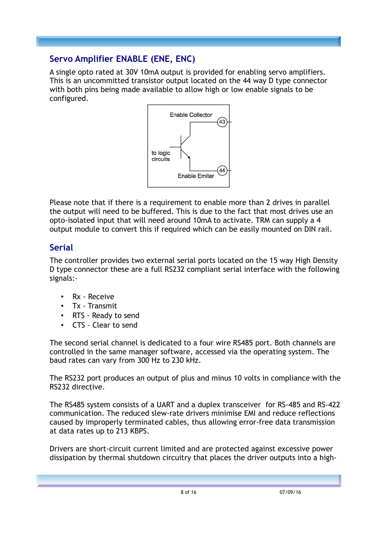# **Servo Amplifier ENABLE (ENE, ENC)**

A single opto rated at 30V 10mA output is provided for enabling servo amplifiers. This is an uncommitted transistor output located on the 44 way D type connector with both pins being made available to allow high or low enable signals to be configured.



Please note that if there is a requirement to enable more than 2 drives in parallel the output will need to be buffered. This is due to the fact that most drives use an opto-isolated input that will need around 10mA to activate. TRM can supply a 4 output module to convert this if required which can be easily mounted on DIN rail.

# **Serial**

The controller provides two external serial ports located on the 15 way High Density D type connector these are a full RS232 compliant serial interface with the following signals:-

- Rx Receive
- Tx Transmit
- RTS Ready to send
- CTS Clear to send

The second serial channel is dedicated to a four wire RS485 port. Both channels are controlled in the same manager software, accessed via the operating system. The baud rates can vary from 300 Hz to 230 kHz.

The RS232 port produces an output of plus and minus 10 volts in compliance with the RS232 directive.

The RS485 system consists of a UART and a duplex transceiver for RS-485 and RS-422 communication. The reduced slew-rate drivers minimise EMI and reduce reflections caused by improperly terminated cables, thus allowing error-free data transmission at data rates up to 213 KBPS.

Drivers are short-circuit current limited and are protected against excessive power dissipation by thermal shutdown circuitry that places the driver outputs into a high-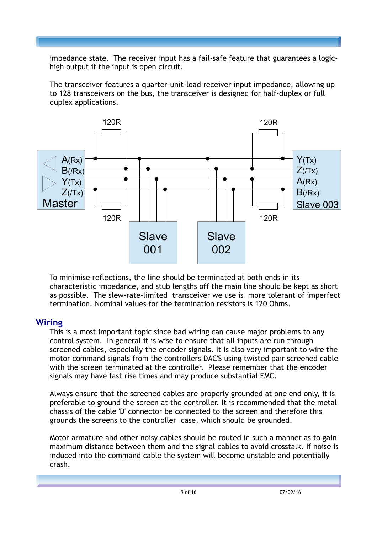impedance state. The receiver input has a fail-safe feature that guarantees a logichigh output if the input is open circuit.

The transceiver features a quarter-unit-load receiver input impedance, allowing up to 128 transceivers on the bus, the transceiver is designed for half-duplex or full duplex applications.



To minimise reflections, the line should be terminated at both ends in its characteristic impedance, and stub lengths off the main line should be kept as short as possible. The slew-rate-limited transceiver we use is more tolerant of imperfect termination. Nominal values for the termination resistors is 120 Ohms.

#### **Wiring**

This is a most important topic since bad wiring can cause major problems to any control system. In general it is wise to ensure that all inputs are run through screened cables, especially the encoder signals. It is also very important to wire the motor command signals from the controllers DAC'S using twisted pair screened cable with the screen terminated at the controller. Please remember that the encoder signals may have fast rise times and may produce substantial EMC.

Always ensure that the screened cables are properly grounded at one end only, it is preferable to ground the screen at the controller. It is recommended that the metal chassis of the cable 'D' connector be connected to the screen and therefore this grounds the screens to the controller case, which should be grounded.

Motor armature and other noisy cables should be routed in such a manner as to gain maximum distance between them and the signal cables to avoid crosstalk. If noise is induced into the command cable the system will become unstable and potentially crash.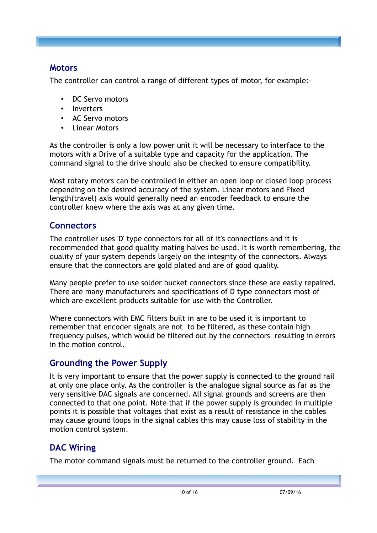## **Motors**

The controller can control a range of different types of motor, for example:-

- DC Servo motors
- **Inverters**
- AC Servo motors
- **Linear Motors**

As the controller is only a low power unit it will be necessary to interface to the motors with a Drive of a suitable type and capacity for the application. The command signal to the drive should also be checked to ensure compatibility.

Most rotary motors can be controlled in either an open loop or closed loop process depending on the desired accuracy of the system. Linear motors and Fixed length(travel) axis would generally need an encoder feedback to ensure the controller knew where the axis was at any given time.

# **Connectors**

The controller uses 'D' type connectors for all of it's connections and it is recommended that good quality mating halves be used. It is worth remembering, the quality of your system depends largely on the integrity of the connectors. Always ensure that the connectors are gold plated and are of good quality.

Many people prefer to use solder bucket connectors since these are easily repaired. There are many manufacturers and specifications of D type connectors most of which are excellent products suitable for use with the Controller.

Where connectors with EMC filters built in are to be used it is important to remember that encoder signals are not to be filtered, as these contain high frequency pulses, which would be filtered out by the connectors resulting in errors in the motion control.

# **Grounding the Power Supply**

It is very important to ensure that the power supply is connected to the ground rail at only one place only. As the controller is the analogue signal source as far as the very sensitive DAC signals are concerned. All signal grounds and screens are then connected to that one point. Note that if the power supply is grounded in multiple points it is possible that voltages that exist as a result of resistance in the cables may cause ground loops in the signal cables this may cause loss of stability in the motion control system.

# **DAC Wiring**

The motor command signals must be returned to the controller ground. Each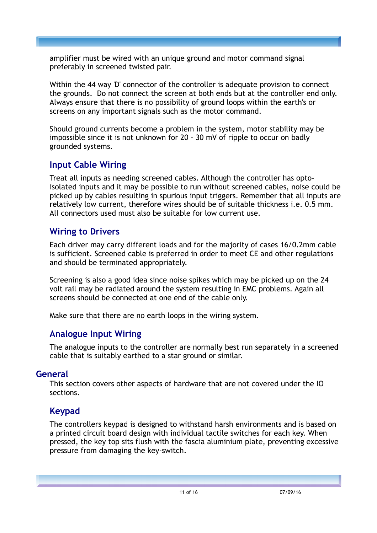amplifier must be wired with an unique ground and motor command signal preferably in screened twisted pair.

Within the 44 way 'D' connector of the controller is adequate provision to connect the grounds. Do not connect the screen at both ends but at the controller end only. Always ensure that there is no possibility of ground loops within the earth's or screens on any important signals such as the motor command.

Should ground currents become a problem in the system, motor stability may be impossible since it is not unknown for 20 - 30 mV of ripple to occur on badly grounded systems.

## **Input Cable Wiring**

Treat all inputs as needing screened cables. Although the controller has optoisolated inputs and it may be possible to run without screened cables, noise could be picked up by cables resulting in spurious input triggers. Remember that all inputs are relatively low current, therefore wires should be of suitable thickness i.e. 0.5 mm. All connectors used must also be suitable for low current use.

## **Wiring to Drivers**

Each driver may carry different loads and for the majority of cases 16/0.2mm cable is sufficient. Screened cable is preferred in order to meet CE and other regulations and should be terminated appropriately.

Screening is also a good idea since noise spikes which may be picked up on the 24 volt rail may be radiated around the system resulting in EMC problems. Again all screens should be connected at one end of the cable only.

Make sure that there are no earth loops in the wiring system.

## **Analogue Input Wiring**

The analogue inputs to the controller are normally best run separately in a screened cable that is suitably earthed to a star ground or similar.

#### **General**

This section covers other aspects of hardware that are not covered under the IO sections.

## **Keypad**

The controllers keypad is designed to withstand harsh environments and is based on a printed circuit board design with individual tactile switches for each key. When pressed, the key top sits flush with the fascia aluminium plate, preventing excessive pressure from damaging the key-switch.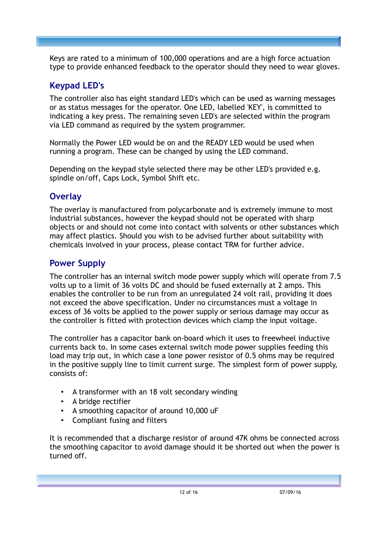Keys are rated to a minimum of 100,000 operations and are a high force actuation type to provide enhanced feedback to the operator should they need to wear gloves.

# **Keypad LED's**

The controller also has eight standard LED's which can be used as warning messages or as status messages for the operator. One LED, labelled 'KEY', is committed to indicating a key press. The remaining seven LED's are selected within the program via LED command as required by the system programmer.

Normally the Power LED would be on and the READY LED would be used when running a program. These can be changed by using the LED command.

Depending on the keypad style selected there may be other LED's provided e.g. spindle on/off, Caps Lock, Symbol Shift etc.

## **Overlay**

The overlay is manufactured from polycarbonate and is extremely immune to most industrial substances, however the keypad should not be operated with sharp objects or and should not come into contact with solvents or other substances which may affect plastics. Should you wish to be advised further about suitability with chemicals involved in your process, please contact TRM for further advice.

# **Power Supply**

The controller has an internal switch mode power supply which will operate from 7.5 volts up to a limit of 36 volts DC and should be fused externally at 2 amps. This enables the controller to be run from an unregulated 24 volt rail, providing it does not exceed the above specification. Under no circumstances must a voltage in excess of 36 volts be applied to the power supply or serious damage may occur as the controller is fitted with protection devices which clamp the input voltage.

The controller has a capacitor bank on-board which it uses to freewheel inductive currents back to. In some cases external switch mode power supplies feeding this load may trip out, in which case a lone power resistor of 0.5 ohms may be required in the positive supply line to limit current surge. The simplest form of power supply, consists of:

- A transformer with an 18 volt secondary winding
- A bridge rectifier
- A smoothing capacitor of around 10,000 uF
- Compliant fusing and filters

It is recommended that a discharge resistor of around 47K ohms be connected across the smoothing capacitor to avoid damage should it be shorted out when the power is turned off.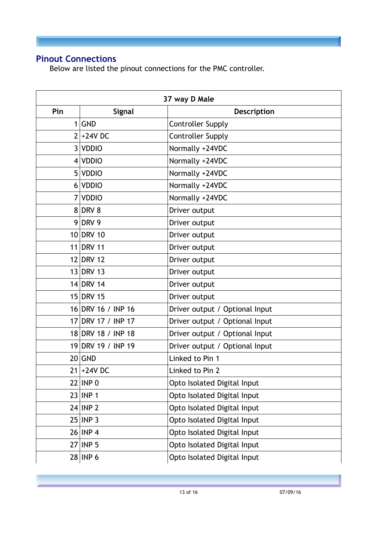# **Pinout Connections**

Below are listed the pinout connections for the PMC controller.

| 37 way D Male |                    |                                |
|---------------|--------------------|--------------------------------|
| Pin           | <b>Signal</b>      | Description                    |
|               | 1 GND              | <b>Controller Supply</b>       |
|               | $2+24V$ DC         | <b>Controller Supply</b>       |
|               | 3 VDDIO            | Normally +24VDC                |
|               | 4 VDDIO            | Normally +24VDC                |
|               | 5 VDDIO            | Normally +24VDC                |
|               | 6 VDDIO            | Normally +24VDC                |
|               | 7 VDDIO            | Normally +24VDC                |
|               | 8 DRV 8            | Driver output                  |
|               | 9 DRV 9            | Driver output                  |
|               | 10 DRV 10          | Driver output                  |
|               | 11 DRV 11          | Driver output                  |
|               | 12 DRV 12          | Driver output                  |
|               | 13 DRV 13          | Driver output                  |
|               | 14 DRV 14          | Driver output                  |
|               | 15 DRV 15          | Driver output                  |
|               | 16 DRV 16 / INP 16 | Driver output / Optional Input |
|               | 17 DRV 17 / INP 17 | Driver output / Optional Input |
|               | 18 DRV 18 / INP 18 | Driver output / Optional Input |
|               | 19 DRV 19 / INP 19 | Driver output / Optional Input |
|               | $20$ GND           | Linked to Pin 1                |
|               | $21 + 24V$ DC      | Linked to Pin 2                |
|               | $22$ INP 0         | Opto Isolated Digital Input    |
|               | $23$ INP 1         | Opto Isolated Digital Input    |
|               | $24$ INP 2         | Opto Isolated Digital Input    |
|               | $25$ INP 3         | Opto Isolated Digital Input    |
|               | $26$ INP 4         | Opto Isolated Digital Input    |
|               | $27$ INP 5         | Opto Isolated Digital Input    |
|               | $28$ INP 6         | Opto Isolated Digital Input    |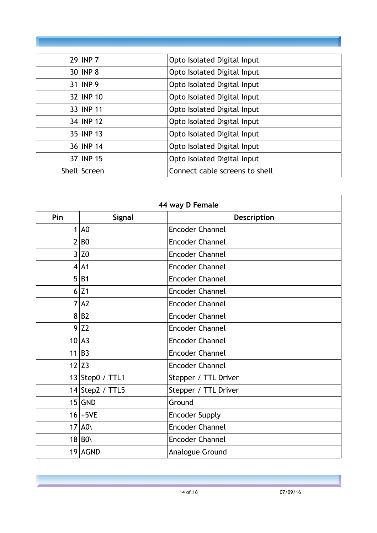| $29$ INP 7   | Opto Isolated Digital Input    |
|--------------|--------------------------------|
| $30$ INP 8   | Opto Isolated Digital Input    |
| $31$ INP 9   | Opto Isolated Digital Input    |
| 32 INP 10    | Opto Isolated Digital Input    |
| 33 INP 11    | Opto Isolated Digital Input    |
| 34 INP 12    | Opto Isolated Digital Input    |
| 35 INP 13    | Opto Isolated Digital Input    |
| 36 INP 14    | Opto Isolated Digital Input    |
| 37 INP 15    | Opto Isolated Digital Input    |
| Shell Screen | Connect cable screens to shell |

| 44 way D Female |                     |                        |
|-----------------|---------------------|------------------------|
| Pin             | <b>Signal</b>       | Description            |
| 1               | A <sub>0</sub>      | <b>Encoder Channel</b> |
| $\overline{2}$  | B <sub>0</sub>      | <b>Encoder Channel</b> |
| 3               | Z0                  | <b>Encoder Channel</b> |
|                 | $4$ A1              | <b>Encoder Channel</b> |
| 5               | <b>B1</b>           | <b>Encoder Channel</b> |
|                 | 6 Z1                | <b>Encoder Channel</b> |
|                 | 7 A2                | <b>Encoder Channel</b> |
|                 | 8 B2                | <b>Encoder Channel</b> |
|                 | 9 Z2                | <b>Encoder Channel</b> |
|                 | 10 A3               | <b>Encoder Channel</b> |
|                 | $11$ B <sub>3</sub> | <b>Encoder Channel</b> |
|                 | $12$ Z3             | <b>Encoder Channel</b> |
|                 | 13 Step0 / TTL1     | Stepper / TTL Driver   |
|                 | 14 Step2 / TTL5     | Stepper / TTL Driver   |
|                 | $15$ GND            | Ground                 |
|                 | $16+5VE$            | <b>Encoder Supply</b>  |
|                 | $17$ AO             | <b>Encoder Channel</b> |
|                 | $18 B0\rangle$      | <b>Encoder Channel</b> |
|                 | 19 AGND             | Analogue Ground        |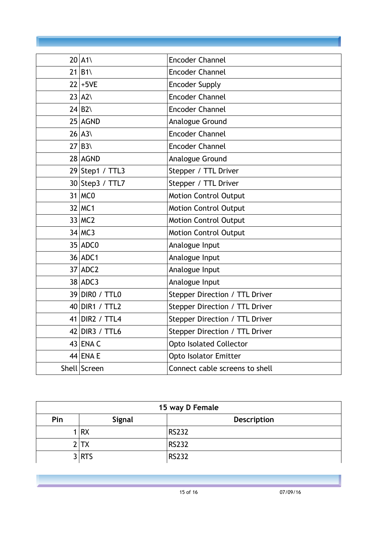| $20$ A1\             | <b>Encoder Channel</b>         |
|----------------------|--------------------------------|
| $21 B1 \rangle$      | <b>Encoder Channel</b>         |
| $22 +5VE$            | <b>Encoder Supply</b>          |
| $23$ $A2$            | <b>Encoder Channel</b>         |
| $24 B2\rangle$       | <b>Encoder Channel</b>         |
| $25$ AGND            | Analogue Ground                |
| $26$ $A3$            | <b>Encoder Channel</b>         |
| $27 B3\angle$        | <b>Encoder Channel</b>         |
| 28 AGND              | Analogue Ground                |
| $29$ Step1 / TTL3    | Stepper / TTL Driver           |
| 30 Step3 / TTL7      | Stepper / TTL Driver           |
| $31$ MCO             | <b>Motion Control Output</b>   |
| 32 MC1               | <b>Motion Control Output</b>   |
| $33$ MC <sub>2</sub> | <b>Motion Control Output</b>   |
| $34$ MC3             | <b>Motion Control Output</b>   |
| $35$ ADC0            | Analogue Input                 |
| 36 ADC1              | Analogue Input                 |
| $37$ ADC2            | Analogue Input                 |
| $38$ ADC3            | Analogue Input                 |
| 39 DIRO / TTLO       | Stepper Direction / TTL Driver |
| 40 DIR1 / TTL2       | Stepper Direction / TTL Driver |
| 41 DIR2 / TTL4       | Stepper Direction / TTL Driver |
| $42$ DIR3 / TTL6     | Stepper Direction / TTL Driver |
| $43$ ENA C           | <b>Opto Isolated Collector</b> |
| $44$ ENA E           | <b>Opto Isolator Emitter</b>   |
| Shell Screen         | Connect cable screens to shell |

| 15 way D Female |               |                    |
|-----------------|---------------|--------------------|
| Pin             | <b>Signal</b> | <b>Description</b> |
|                 | 1 RX          | <b>RS232</b>       |
|                 | $\prime$ TX   | <b>RS232</b>       |
|                 | 3 RTS         | <b>RS232</b>       |